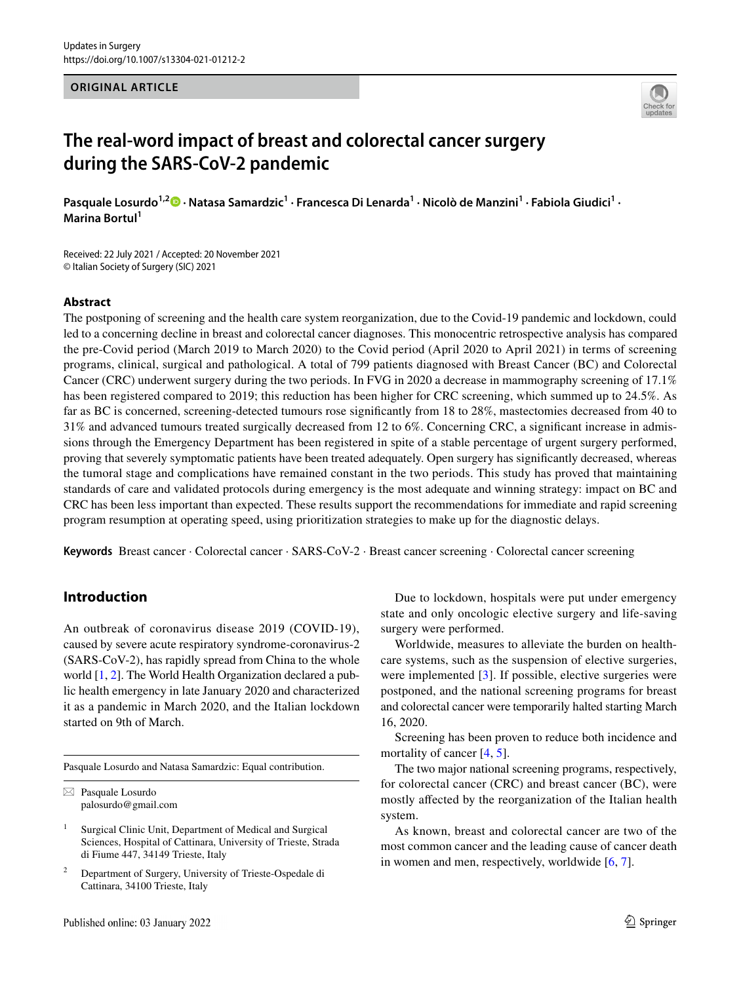## **ORIGINAL ARTICLE**



# **The real‑word impact of breast and colorectal cancer surgery during the SARS‑CoV‑2 pandemic**

PasqualeLosurdo<sup>1,2</sup><sup>®</sup> · Natasa Samardzic<sup>1</sup> · Francesca Di Lenarda<sup>1</sup> · Nicolò de Manzini<sup>1</sup> · Fabiola Giudici<sup>1</sup> · **Marina Bortul<sup>1</sup>**

Received: 22 July 2021 / Accepted: 20 November 2021 © Italian Society of Surgery (SIC) 2021

## **Abstract**

The postponing of screening and the health care system reorganization, due to the Covid-19 pandemic and lockdown, could led to a concerning decline in breast and colorectal cancer diagnoses. This monocentric retrospective analysis has compared the pre-Covid period (March 2019 to March 2020) to the Covid period (April 2020 to April 2021) in terms of screening programs, clinical, surgical and pathological. A total of 799 patients diagnosed with Breast Cancer (BC) and Colorectal Cancer (CRC) underwent surgery during the two periods. In FVG in 2020 a decrease in mammography screening of 17.1% has been registered compared to 2019; this reduction has been higher for CRC screening, which summed up to 24.5%. As far as BC is concerned, screening-detected tumours rose signifcantly from 18 to 28%, mastectomies decreased from 40 to 31% and advanced tumours treated surgically decreased from 12 to 6%. Concerning CRC, a signifcant increase in admissions through the Emergency Department has been registered in spite of a stable percentage of urgent surgery performed, proving that severely symptomatic patients have been treated adequately. Open surgery has signifcantly decreased, whereas the tumoral stage and complications have remained constant in the two periods. This study has proved that maintaining standards of care and validated protocols during emergency is the most adequate and winning strategy: impact on BC and CRC has been less important than expected. These results support the recommendations for immediate and rapid screening program resumption at operating speed, using prioritization strategies to make up for the diagnostic delays.

**Keywords** Breast cancer · Colorectal cancer · SARS-CoV-2 · Breast cancer screening · Colorectal cancer screening

# **Introduction**

An outbreak of coronavirus disease 2019 (COVID-19), caused by severe acute respiratory syndrome-coronavirus-2 (SARS-CoV-2), has rapidly spread from China to the whole world [\[1](#page-8-0), [2\]](#page-9-0). The World Health Organization declared a public health emergency in late January 2020 and characterized it as a pandemic in March 2020, and the Italian lockdown started on 9th of March.

Pasquale Losurdo and Natasa Samardzic: Equal contribution.

 $\boxtimes$  Pasquale Losurdo palosurdo@gmail.com

<sup>1</sup> Surgical Clinic Unit, Department of Medical and Surgical Sciences, Hospital of Cattinara, University of Trieste, Strada di Fiume 447, 34149 Trieste, Italy

<sup>2</sup> Department of Surgery, University of Trieste-Ospedale di Cattinara, 34100 Trieste, Italy

Due to lockdown, hospitals were put under emergency state and only oncologic elective surgery and life-saving surgery were performed.

Worldwide, measures to alleviate the burden on healthcare systems, such as the suspension of elective surgeries, were implemented [[3](#page-9-1)]. If possible, elective surgeries were postponed, and the national screening programs for breast and colorectal cancer were temporarily halted starting March 16, 2020.

Screening has been proven to reduce both incidence and mortality of cancer [\[4](#page-9-2), [5](#page-9-3)].

The two major national screening programs, respectively, for colorectal cancer (CRC) and breast cancer (BC), were mostly afected by the reorganization of the Italian health system.

As known, breast and colorectal cancer are two of the most common cancer and the leading cause of cancer death in women and men, respectively, worldwide [\[6](#page-9-4), [7](#page-9-5)].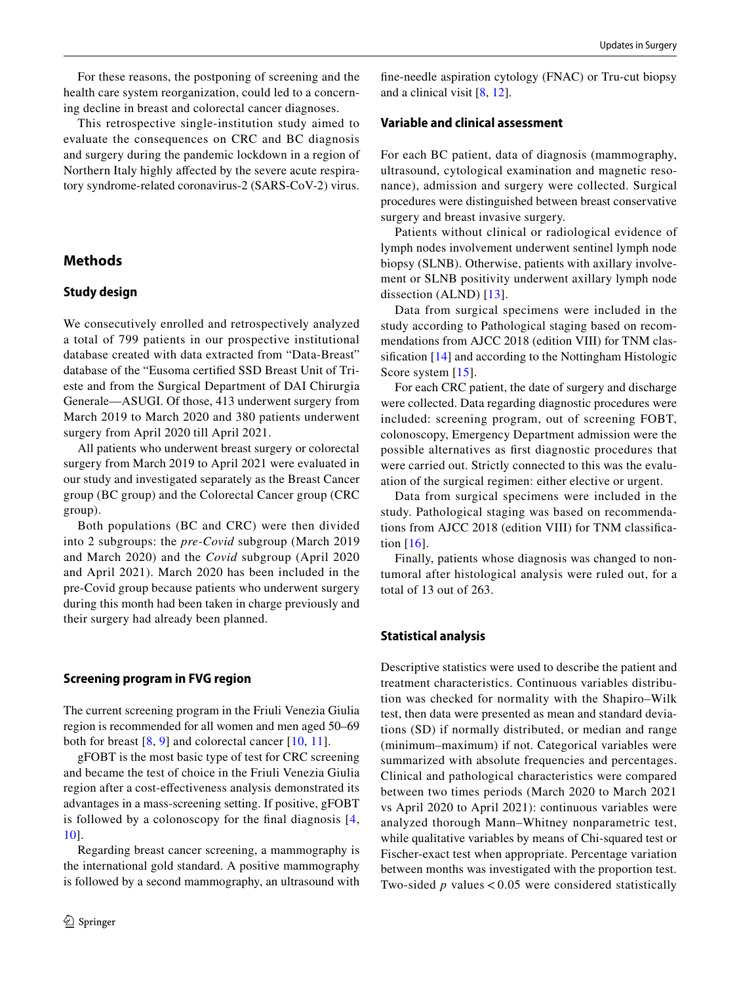For these reasons, the postponing of screening and the health care system reorganization, could led to a concerning decline in breast and colorectal cancer diagnoses.

This retrospective single-institution study aimed to evaluate the consequences on CRC and BC diagnosis and surgery during the pandemic lockdown in a region of Northern Italy highly afected by the severe acute respiratory syndrome-related coronavirus-2 (SARS-CoV-2) virus.

# **Methods**

## **Study design**

We consecutively enrolled and retrospectively analyzed a total of 799 patients in our prospective institutional database created with data extracted from "Data-Breast" database of the "Eusoma certifed SSD Breast Unit of Trieste and from the Surgical Department of DAI Chirurgia Generale—ASUGI. Of those, 413 underwent surgery from March 2019 to March 2020 and 380 patients underwent surgery from April 2020 till April 2021.

All patients who underwent breast surgery or colorectal surgery from March 2019 to April 2021 were evaluated in our study and investigated separately as the Breast Cancer group (BC group) and the Colorectal Cancer group (CRC group).

Both populations (BC and CRC) were then divided into 2 subgroups: the *pre-Covid* subgroup (March 2019 and March 2020) and the *Covid* subgroup (April 2020 and April 2021). March 2020 has been included in the pre-Covid group because patients who underwent surgery during this month had been taken in charge previously and their surgery had already been planned.

## **Screening program in FVG region**

The current screening program in the Friuli Venezia Giulia region is recommended for all women and men aged 50–69 both for breast  $[8, 9]$  $[8, 9]$  $[8, 9]$  $[8, 9]$  $[8, 9]$  and colorectal cancer  $[10, 11]$  $[10, 11]$  $[10, 11]$  $[10, 11]$  $[10, 11]$ .

gFOBT is the most basic type of test for CRC screening and became the test of choice in the Friuli Venezia Giulia region after a cost-efectiveness analysis demonstrated its advantages in a mass-screening setting. If positive, gFOBT is followed by a colonoscopy for the fnal diagnosis [[4,](#page-9-2) [10](#page-9-8)].

Regarding breast cancer screening, a mammography is the international gold standard. A positive mammography is followed by a second mammography, an ultrasound with fne-needle aspiration cytology (FNAC) or Tru-cut biopsy and a clinical visit [[8,](#page-9-6) [12\]](#page-9-10).

## **Variable and clinical assessment**

For each BC patient, data of diagnosis (mammography, ultrasound, cytological examination and magnetic resonance), admission and surgery were collected. Surgical procedures were distinguished between breast conservative surgery and breast invasive surgery.

Patients without clinical or radiological evidence of lymph nodes involvement underwent sentinel lymph node biopsy (SLNB). Otherwise, patients with axillary involvement or SLNB positivity underwent axillary lymph node dissection (ALND) [\[13\]](#page-9-11).

Data from surgical specimens were included in the study according to Pathological staging based on recommendations from AJCC 2018 (edition VIII) for TNM classifcation [[14\]](#page-9-12) and according to the Nottingham Histologic Score system [\[15\]](#page-9-13).

For each CRC patient, the date of surgery and discharge were collected. Data regarding diagnostic procedures were included: screening program, out of screening FOBT, colonoscopy, Emergency Department admission were the possible alternatives as frst diagnostic procedures that were carried out. Strictly connected to this was the evaluation of the surgical regimen: either elective or urgent.

Data from surgical specimens were included in the study. Pathological staging was based on recommendations from AJCC 2018 (edition VIII) for TNM classifcation [[16\]](#page-9-14).

Finally, patients whose diagnosis was changed to nontumoral after histological analysis were ruled out, for a total of 13 out of 263.

## **Statistical analysis**

Descriptive statistics were used to describe the patient and treatment characteristics. Continuous variables distribution was checked for normality with the Shapiro–Wilk test, then data were presented as mean and standard deviations (SD) if normally distributed, or median and range (minimum–maximum) if not. Categorical variables were summarized with absolute frequencies and percentages. Clinical and pathological characteristics were compared between two times periods (March 2020 to March 2021 vs April 2020 to April 2021): continuous variables were analyzed thorough Mann–Whitney nonparametric test, while qualitative variables by means of Chi-squared test or Fischer-exact test when appropriate. Percentage variation between months was investigated with the proportion test. Two-sided *p* values < 0.05 were considered statistically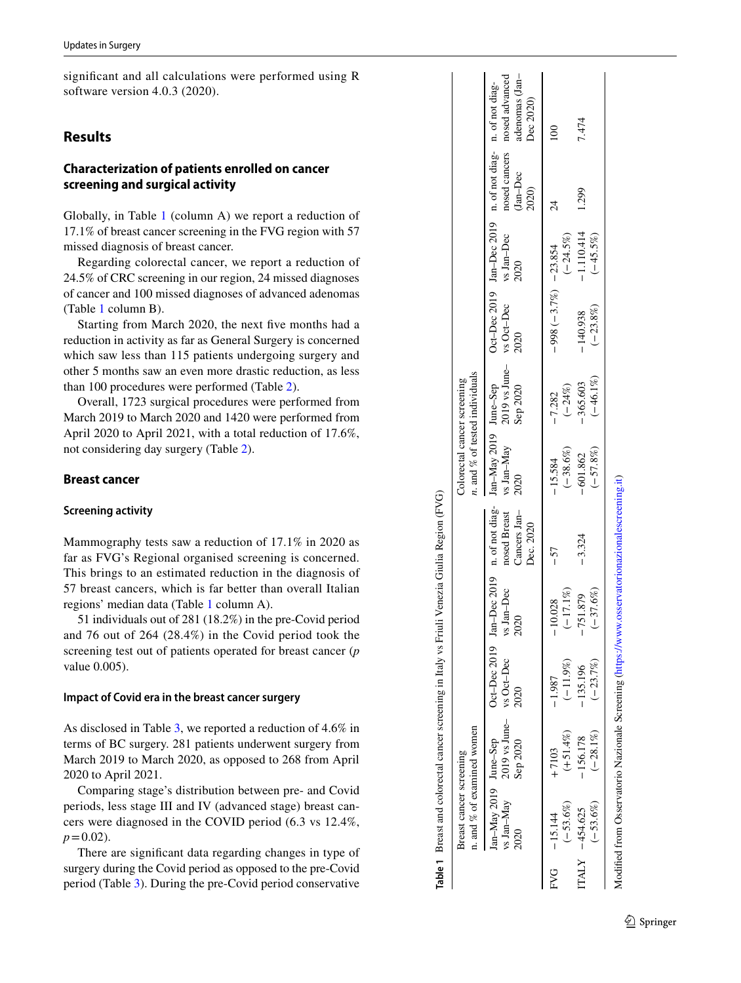signifcant and all calculations were performed using R software version 4.0.3 (2020).

# **Results**

# **Characterization of patients enrolled on cancer screening and surgical activity**

Globally, in Table [1](#page-2-0) (column A) we report a reduction of 17.1% of breast cancer screening in the FVG region with 57 missed diagnosis of breast cancer.

Regarding colorectal cancer, we report a reduction of 24.5% of CRC screening in our region, 24 missed diagnoses of cancer and 100 missed diagnoses of advanced adenomas (Table [1](#page-2-0) column B).

Starting from March 2020, the next fve months had a reduction in activity as far as General Surgery is concerned which saw less than 115 patients undergoing surgery and other 5 months saw an even more drastic reduction, as less than 100 procedures were performed (Table [2](#page-3-0)).

Overall, 1723 surgical procedures were performed from March 2019 to March 2020 and 1420 were performed from April 2020 to April 2021, with a total reduction of 17.6%, not considering day surgery (Table [2](#page-3-0)).

## **Breast cancer**

#### **Screening activity**

Mammography tests saw a reduction of 17.1% in 2020 as far as FVG's Regional organised screening is concerned. This brings to an estimated reduction in the diagnosis of 57 breast cancers, which is far better than overall Italian regions' median data (Table [1](#page-2-0) column A).

51 individuals out of 281 (18.2%) in the pre-Covid period and 76 out of 264 (28.4%) in the Covid period took the screening test out of patients operated for breast cancer (*p* value 0.005).

#### **Impact of Covid era in the breast cancer surgery**

As disclosed in Table [3](#page-4-0), we reported a reduction of 4.6% in terms of BC surgery. 281 patients underwent surgery from March 2019 to March 2020, as opposed to 268 from April 2020 to April 2021.

Comparing stage's distribution between pre- and Covid periods, less stage III and IV (advanced stage) breast can cers were diagnosed in the COVID period (6.3 vs 12.4%,  $p=0.02$ ).

<span id="page-2-0"></span>There are signifcant data regarding changes in type of surgery during the Covid period as opposed to the pre-Covid period (Table [3\)](#page-4-0). During the pre-Covid period conservative

| n. and % of examined women<br>Breast cancer screening  |                           |                                                                                                |                                                                                       |                                           | $n$ , and % of tested individuals<br>Colorectal cancer screening |                           |                                                                                                                                                                                                                                 |                                                           |                                                    |                             |
|--------------------------------------------------------|---------------------------|------------------------------------------------------------------------------------------------|---------------------------------------------------------------------------------------|-------------------------------------------|------------------------------------------------------------------|---------------------------|---------------------------------------------------------------------------------------------------------------------------------------------------------------------------------------------------------------------------------|-----------------------------------------------------------|----------------------------------------------------|-----------------------------|
| $Jan-May 2019$ June–Sep<br>$vs$ Jan-May<br><b>2020</b> | Sep 2020                  | $2019$ vs June- vs Oct-Dec<br>2020                                                             | Oct-Dec 2019 Jan-Dec 2019 n. of not diag- Jan-May 2019 June-Sep<br>vs Jan-Dec<br>2020 | nosed Breast<br>Cancers Jan-<br>Dec. 2020 | vs Jan-May<br>2020                                               |                           | 2019 vs June – vs Oct-Dec vs Jan-Dec<br>Sep 2020 – 2020 – 2020 – 2020 – 2020 – 2020 – 2020 – 2020 – 2020 – 2020 – 2020 – 2020 – 2020 – 2020 – 2020 – 2020 – 2020 – 2020 – 2020 – 2020 – 2020 – 2020 – 2020 – 2020 – 2020 – 2020 | Oct-Dec 2019 Jan-Dec 2019 n. of not diag- n. of not diag- | nosed cancers nosed advanced<br>$Jan-Dec$<br>2020) | adenomas (Jan-<br>Dec 2020) |
| $(-53.6%)$<br>$FVG - 15.144$                           | $(+51.4\%)$<br>$+7103$    | $(-11.9\%)$<br>$-1.987$                                                                        | 17.1%)<br>0.028<br>$\mathsf I$                                                        | -57                                       | $(-38.6\%)$<br>$-15.584$                                         | $(-24\%)$<br>$-7.282$     | $-998 (-3.7\%) -23.854$                                                                                                                                                                                                         | $(-24.5%)$                                                | $\tilde{4}$                                        |                             |
| $(-53.6%)$<br>TALY -454.625                            | $(-28.1\%)$<br>$-156.178$ | $(-23.7%)$<br>$-135.196$                                                                       | 37.6%)<br>$-751.879$<br>$\overline{1}$                                                | $-3.324$                                  | $(-57.8\%)$<br>$-601.862$                                        | $(-46.1\%)$<br>$-365,603$ | $(-23.8\%)$<br>$-140.938$                                                                                                                                                                                                       | $-1.110.414$<br>$(-45.5%)$                                | 1.299                                              | 7.474                       |
|                                                        |                           | Modified from Osservatorio Nazionale Screening (https://www.osservatorionazionalescreening.it) |                                                                                       |                                           |                                                                  |                           |                                                                                                                                                                                                                                 |                                                           |                                                    |                             |

**Table 1** Breast and colorectal cancer screening in Italy vs Friuli Venezia Giulia Region (FVG)

Table 1 Breast and colorectal cancer screening in Italy vs Friuli Venezia Giulia Region (FVG)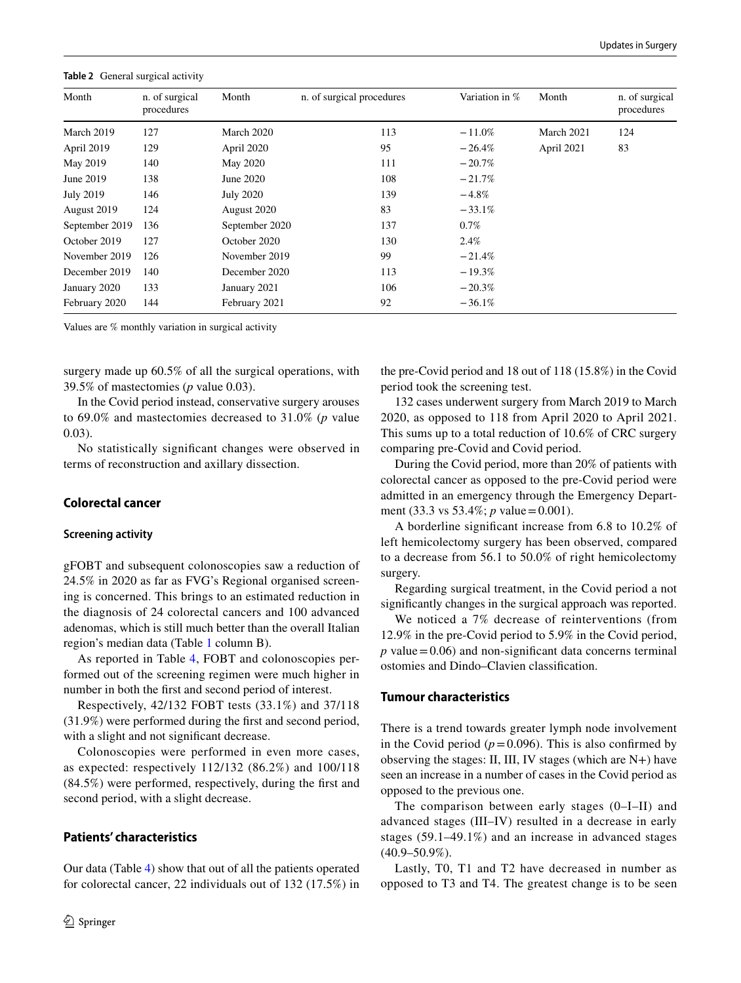| Month            | n. of surgical<br>procedures | Month            | n. of surgical procedures | Variation in % | Month      | n. of surgical<br>procedures |
|------------------|------------------------------|------------------|---------------------------|----------------|------------|------------------------------|
| March 2019       | 127                          | March 2020       | 113                       | $-11.0%$       | March 2021 | 124                          |
| April 2019       | 129                          | April 2020       | 95                        | $-26.4%$       | April 2021 | 83                           |
| May 2019         | 140                          | May 2020         | 111                       | $-20.7%$       |            |                              |
| June 2019        | 138                          | June 2020        | 108                       | $-21.7%$       |            |                              |
| <b>July 2019</b> | 146                          | <b>July 2020</b> | 139                       | $-4.8%$        |            |                              |
| August 2019      | 124                          | August 2020      | 83                        | $-33.1%$       |            |                              |
| September 2019   | 136                          | September 2020   | 137                       | $0.7\%$        |            |                              |
| October 2019     | 127                          | October 2020     | 130                       | $2.4\%$        |            |                              |
| November 2019    | 126                          | November 2019    | 99                        | $-21.4%$       |            |                              |
| December 2019    | 140                          | December 2020    | 113                       | $-19.3%$       |            |                              |
| January 2020     | 133                          | January 2021     | 106                       | $-20.3%$       |            |                              |
| February 2020    | 144                          | February 2021    | 92                        | $-36.1%$       |            |                              |

<span id="page-3-0"></span>**Table 2** General surgical activity

Values are % monthly variation in surgical activity

surgery made up 60.5% of all the surgical operations, with 39.5% of mastectomies (*p* value 0.03).

In the Covid period instead, conservative surgery arouses to 69.0% and mastectomies decreased to 31.0% (*p* value 0.03).

No statistically signifcant changes were observed in terms of reconstruction and axillary dissection.

# **Colorectal cancer**

## **Screening activity**

gFOBT and subsequent colonoscopies saw a reduction of 24.5% in 2020 as far as FVG's Regional organised screening is concerned. This brings to an estimated reduction in the diagnosis of 24 colorectal cancers and 100 advanced adenomas, which is still much better than the overall Italian region's median data (Table [1](#page-2-0) column B).

As reported in Table [4,](#page-5-0) FOBT and colonoscopies performed out of the screening regimen were much higher in number in both the frst and second period of interest.

Respectively, 42/132 FOBT tests (33.1%) and 37/118 (31.9%) were performed during the frst and second period, with a slight and not significant decrease.

Colonoscopies were performed in even more cases, as expected: respectively 112/132 (86.2%) and 100/118 (84.5%) were performed, respectively, during the frst and second period, with a slight decrease.

## **Patients' characteristics**

Our data (Table [4](#page-5-0)) show that out of all the patients operated for colorectal cancer, 22 individuals out of 132 (17.5%) in the pre-Covid period and 18 out of 118 (15.8%) in the Covid period took the screening test.

132 cases underwent surgery from March 2019 to March 2020, as opposed to 118 from April 2020 to April 2021. This sums up to a total reduction of 10.6% of CRC surgery comparing pre-Covid and Covid period.

During the Covid period, more than 20% of patients with colorectal cancer as opposed to the pre-Covid period were admitted in an emergency through the Emergency Department (33.3 vs 53.4%; *p* value = 0.001).

A borderline signifcant increase from 6.8 to 10.2% of left hemicolectomy surgery has been observed, compared to a decrease from 56.1 to 50.0% of right hemicolectomy surgery.

Regarding surgical treatment, in the Covid period a not signifcantly changes in the surgical approach was reported.

We noticed a 7% decrease of reinterventions (from 12.9% in the pre-Covid period to 5.9% in the Covid period,  $p$  value = 0.06) and non-significant data concerns terminal ostomies and Dindo–Clavien classifcation.

## **Tumour characteristics**

There is a trend towards greater lymph node involvement in the Covid period ( $p = 0.096$ ). This is also confirmed by observing the stages: II, III, IV stages (which are N+) have seen an increase in a number of cases in the Covid period as opposed to the previous one.

The comparison between early stages (0–I–II) and advanced stages (III–IV) resulted in a decrease in early stages (59.1–49.1%) and an increase in advanced stages (40.9–50.9%).

Lastly, T0, T1 and T2 have decreased in number as opposed to T3 and T4. The greatest change is to be seen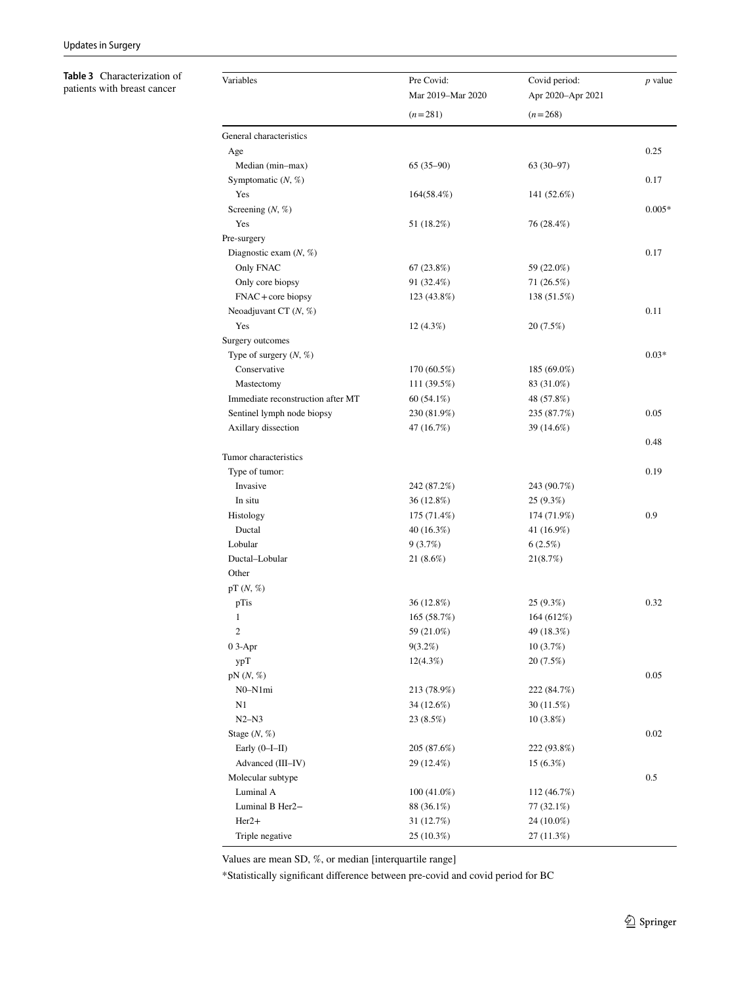<span id="page-4-0"></span>**Table 3** Characterization of patients with breast cancer

| Variables                         | Pre Covid:<br>Mar 2019-Mar 2020 | Covid period:<br>Apr 2020-Apr 2021 | <i>p</i> value |
|-----------------------------------|---------------------------------|------------------------------------|----------------|
|                                   | $(n=281)$                       | $(n=268)$                          |                |
| General characteristics           |                                 |                                    |                |
| Age                               |                                 |                                    | 0.25           |
| Median (min-max)                  | $65(35-90)$                     | 63 (30-97)                         |                |
| Symptomatic $(N, %)$              |                                 |                                    | 0.17           |
| Yes                               | 164(58.4%)                      | 141 (52.6%)                        |                |
| Screening $(N, \%)$               |                                 |                                    | $0.005*$       |
| Yes                               | 51 (18.2%)                      | 76 (28.4%)                         |                |
| Pre-surgery                       |                                 |                                    |                |
| Diagnostic exam $(N, %)$          |                                 |                                    | 0.17           |
|                                   |                                 |                                    |                |
| Only FNAC                         | 67(23.8%)<br>91 (32.4%)         | 59 (22.0%)                         |                |
| Only core biopsy                  |                                 | 71 (26.5%)                         |                |
| FNAC + core biopsy                | 123 (43.8%)                     | 138 (51.5%)                        |                |
| Neoadjuvant CT $(N, %)$           |                                 |                                    | 0.11           |
| Yes                               | $12(4.3\%)$                     | 20 (7.5%)                          |                |
| Surgery outcomes                  |                                 |                                    |                |
| Type of surgery $(N, %)$          |                                 |                                    | $0.03*$        |
| Conservative                      | 170 (60.5%)                     | 185 (69.0%)                        |                |
| Mastectomy                        | 111 (39.5%)                     | 83 (31.0%)                         |                |
| Immediate reconstruction after MT | $60(54.1\%)$                    | 48 (57.8%)                         |                |
| Sentinel lymph node biopsy        | 230 (81.9%)                     | 235 (87.7%)                        | 0.05           |
| Axillary dissection               | 47 (16.7%)                      | 39 (14.6%)                         |                |
|                                   |                                 |                                    | 0.48           |
| Tumor characteristics             |                                 |                                    |                |
| Type of tumor:                    |                                 |                                    | 0.19           |
| Invasive                          | 242 (87.2%)                     | 243 (90.7%)                        |                |
| In situ                           | 36 (12.8%)                      | 25 (9.3%)                          |                |
| Histology                         | 175 (71.4%)                     | 174 (71.9%)                        | 0.9            |
| Ductal                            | 40 (16.3%)                      | 41 (16.9%)                         |                |
| Lobular                           | 9(3.7%)                         | 6(2.5%)                            |                |
| Ductal-Lobular                    | 21 (8.6%)                       | 21(8.7%)                           |                |
| Other                             |                                 |                                    |                |
| pT(N, %)                          |                                 |                                    |                |
| pTis                              | 36 (12.8%)                      | 25 (9.3%)                          | 0.32           |
| $\mathbf{1}$                      | 165 (58.7%)                     | 164 (612%)                         |                |
| $\overline{2}$                    | 59 (21.0%)                      | 49 (18.3%)                         |                |
| $03-Apr$                          | 9(3.2%)                         | 10(3.7%)                           |                |
| ypT                               | 12(4.3%)                        | 20 (7.5%)                          |                |
| pN(N, %)                          |                                 |                                    | 0.05           |
| $N0-N1mi$                         | 213 (78.9%)                     | 222 (84.7%)                        |                |
| N1                                | 34 (12.6%)                      | 30 (11.5%)                         |                |
| $N2-N3$                           | 23 (8.5%)                       | $10(3.8\%)$                        |                |
| Stage $(N, %)$                    |                                 |                                    | 0.02           |
| Early (0-I-II)                    | 205 (87.6%)                     | 222 (93.8%)                        |                |
| Advanced (III-IV)                 | 29 (12.4%)                      | 15 (6.3%)                          |                |
| Molecular subtype                 |                                 |                                    | 0.5            |
| Luminal A                         | $100(41.0\%)$                   | 112 (46.7%)                        |                |
| Luminal B Her2-                   | 88 (36.1%)                      | 77 (32.1%)                         |                |
| $Her2+$                           | 31 (12.7%)                      | 24 (10.0%)                         |                |
| Triple negative                   | 25 (10.3%)                      | 27 (11.3%)                         |                |
|                                   |                                 |                                    |                |

Values are mean SD, %, or median [interquartile range]

\*Statistically signifcant diference between pre-covid and covid period for BC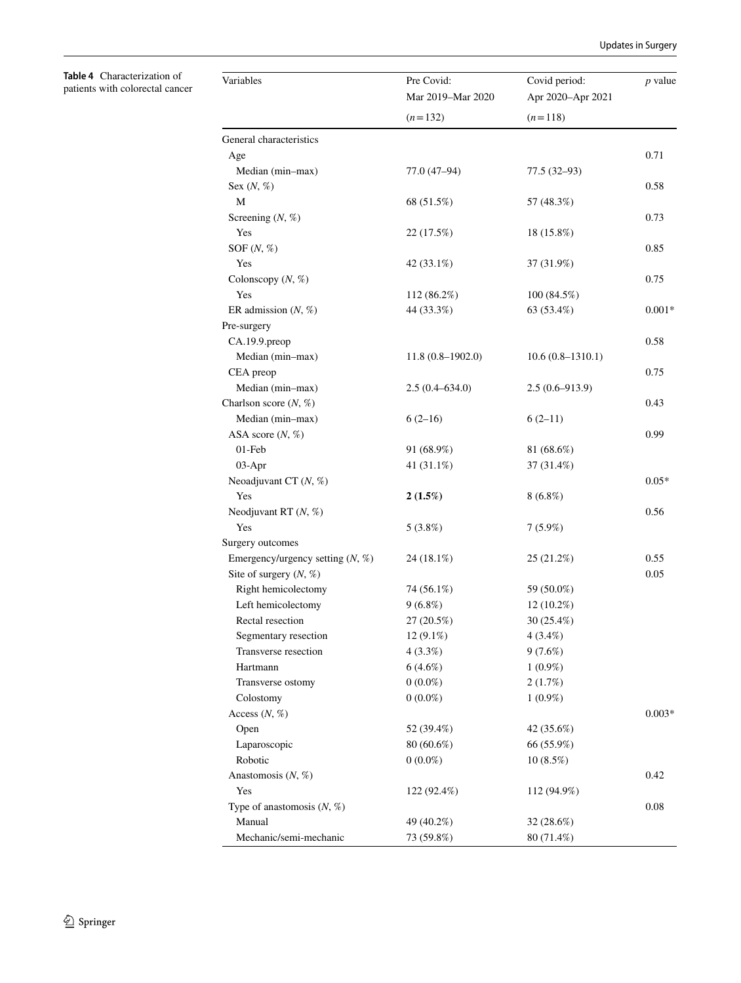<span id="page-5-0"></span>**Table 4** Characterization of patients with colorectal cancer

| Variables                           | Pre Covid:<br>Mar 2019-Mar 2020 | Covid period:<br>Apr 2020-Apr 2021 | $p$ value |
|-------------------------------------|---------------------------------|------------------------------------|-----------|
|                                     | $(n=132)$                       | $(n=118)$                          |           |
| General characteristics             |                                 |                                    |           |
| Age                                 |                                 |                                    | 0.71      |
| Median (min-max)                    | $77.0(47-94)$                   | $77.5(32 - 93)$                    |           |
| Sex $(N, %)$                        |                                 |                                    | 0.58      |
| M                                   | 68 (51.5%)                      | 57 (48.3%)                         |           |
| Screening $(N, %)$                  |                                 |                                    | 0.73      |
| Yes                                 | 22 (17.5%)                      | 18 (15.8%)                         |           |
| SOF $(N, \%)$                       |                                 |                                    | 0.85      |
| Yes                                 | 42 (33.1%)                      | 37 (31.9%)                         |           |
| Colonscopy $(N, \%)$                |                                 |                                    | 0.75      |
| Yes                                 | 112 (86.2%)                     | 100(84.5%)                         |           |
| ER admission $(N, %)$               | 44 (33.3%)                      | 63 (53.4%)                         | $0.001*$  |
| Pre-surgery                         |                                 |                                    |           |
| CA.19.9.preop                       |                                 |                                    | 0.58      |
| Median (min-max)                    | $11.8(0.8-1902.0)$              | $10.6(0.8-1310.1)$                 |           |
| CEA preop                           |                                 |                                    | 0.75      |
| Median (min-max)                    | $2.5(0.4 - 634.0)$              | $2.5(0.6 - 913.9)$                 |           |
| Charlson score $(N, %)$             |                                 |                                    | 0.43      |
| Median (min-max)                    | $6(2-16)$                       | $6(2-11)$                          |           |
| ASA score $(N, \%)$                 |                                 |                                    | 0.99      |
| $01$ -Feb                           | 91 (68.9%)                      | 81 (68.6%)                         |           |
| $03-Apr$                            | 41 (31.1%)                      | 37 (31.4%)                         |           |
| Neoadjuvant CT $(N, %)$             |                                 |                                    | $0.05*$   |
| Yes                                 | 2(1.5%)                         | $8(6.8\%)$                         |           |
| Neodjuvant RT $(N, %)$              |                                 |                                    | 0.56      |
| Yes                                 | 5(3.8%)                         | $7(5.9\%)$                         |           |
| Surgery outcomes                    |                                 |                                    |           |
| Emergency/urgency setting $(N, \%)$ | 24 (18.1%)                      | 25 (21.2%)                         | 0.55      |
| Site of surgery $(N, %)$            |                                 |                                    | 0.05      |
| Right hemicolectomy                 | 74 (56.1%)                      | 59 (50.0%)                         |           |
| Left hemicolectomy                  | $9(6.8\%)$                      | 12 (10.2%)                         |           |
| Rectal resection                    | 27 (20.5%)                      | 30 (25.4%)                         |           |
| Segmentary resection                | 12 (9.1%)                       | 4(3.4%)                            |           |
| Transverse resection                | $4(3.3\%)$                      | $9(7.6\%)$                         |           |
| Hartmann                            | 6(4.6%)                         | $1(0.9\%)$                         |           |
| Transverse ostomy                   | $0(0.0\%)$                      | 2(1.7%)                            |           |
| Colostomy                           | $0(0.0\%)$                      | $1(0.9\%)$                         |           |
| Access $(N, %)$                     |                                 |                                    | $0.003*$  |
| Open                                | 52 (39.4%)                      | 42 (35.6%)                         |           |
| Laparoscopic                        | 80 (60.6%)                      | 66 (55.9%)                         |           |
| Robotic                             | $0(0.0\%)$                      | $10(8.5\%)$                        |           |
| Anastomosis $(N, %)$                |                                 |                                    | 0.42      |
| Yes                                 | 122 (92.4%)                     | 112 (94.9%)                        |           |
| Type of anastomosis $(N, %)$        |                                 |                                    | 0.08      |
| Manual                              | 49 (40.2%)                      | 32 (28.6%)                         |           |
| Mechanic/semi-mechanic              | 73 (59.8%)                      | 80 (71.4%)                         |           |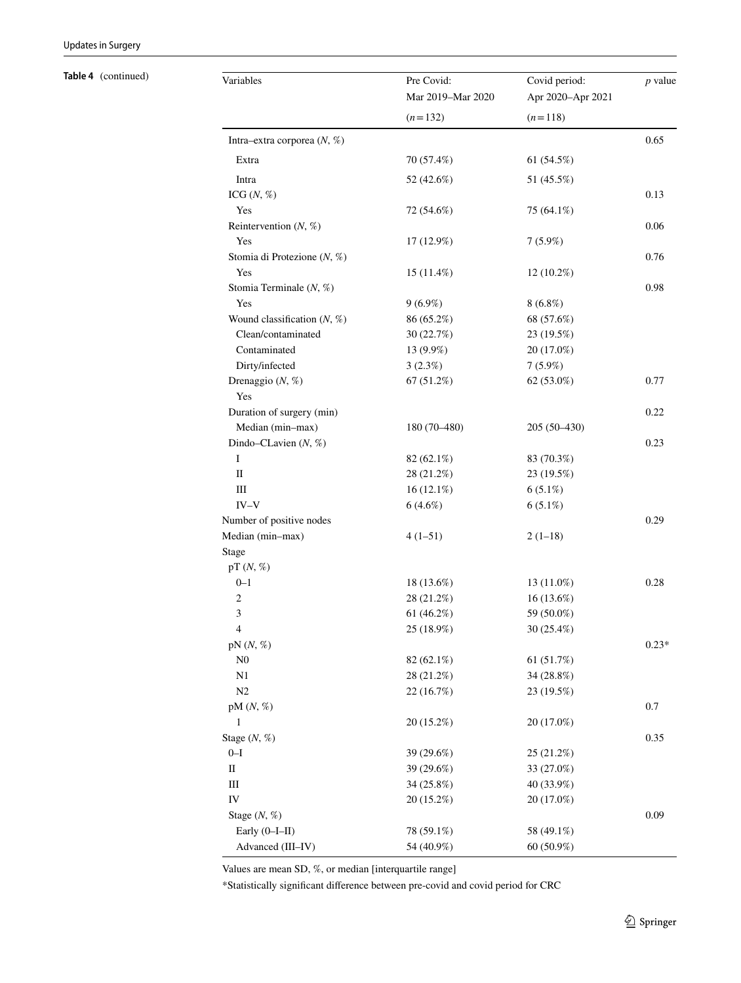| Table 4 (continued) | Variables                           | Pre Covid:<br>Mar 2019-Mar 2020 | Covid period:<br>Apr 2020-Apr 2021 | $p$ value |
|---------------------|-------------------------------------|---------------------------------|------------------------------------|-----------|
|                     |                                     | $(n=132)$                       | $(n=118)$                          |           |
|                     | Intra-extra corporea $(N, %)$       |                                 |                                    | 0.65      |
|                     | Extra                               | 70 (57.4%)                      | 61 (54.5%)                         |           |
|                     | Intra                               | 52 (42.6%)                      | 51 (45.5%)                         |           |
|                     | ICG $(N, %)$                        |                                 |                                    | 0.13      |
|                     | Yes                                 | 72 (54.6%)                      | 75 (64.1%)                         |           |
|                     | Reintervention $(N, %)$             |                                 |                                    | 0.06      |
|                     | Yes                                 | 17 (12.9%)                      | $7(5.9\%)$                         |           |
|                     | Stomia di Protezione ( $N$ , $\%$ ) |                                 |                                    | 0.76      |
|                     | Yes                                 | 15(11.4%)                       | $12(10.2\%)$                       |           |
|                     | Stomia Terminale $(N, %)$           |                                 |                                    | 0.98      |
|                     | Yes                                 | $9(6.9\%)$                      | $8(6.8\%)$                         |           |
|                     | Wound classification $(N, %)$       | 86 (65.2%)                      | 68 (57.6%)                         |           |
|                     | Clean/contaminated                  | 30 (22.7%)                      | 23 (19.5%)                         |           |
|                     | Contaminated                        | 13 (9.9%)                       | 20 (17.0%)                         |           |
|                     | Dirty/infected                      | 3(2.3%)                         | $7(5.9\%)$                         |           |
|                     | Drenaggio $(N, %)$                  | 67(51.2%)                       | 62 (53.0%)                         | 0.77      |
|                     | Yes                                 |                                 |                                    |           |
|                     | Duration of surgery (min)           |                                 |                                    | 0.22      |
|                     | Median (min-max)                    | 180 (70-480)                    | 205 (50-430)                       |           |
|                     | Dindo-CLavien $(N, %)$              |                                 |                                    | 0.23      |
|                     | I                                   | 82 (62.1%)                      | 83 (70.3%)                         |           |
|                     | $\rm II$                            | 28 (21.2%)                      | 23 (19.5%)                         |           |
|                     | $\rm III$                           | 16 (12.1%)                      | $6(5.1\%)$                         |           |
|                     | $IV-V$                              | 6(4.6%)                         | $6(5.1\%)$                         |           |
|                     | Number of positive nodes            |                                 |                                    | 0.29      |
|                     | Median (min-max)                    | $4(1-51)$                       | $2(1-18)$                          |           |
|                     | Stage                               |                                 |                                    |           |
|                     | pT $(N, %)$                         |                                 |                                    |           |
|                     | $0 - 1$                             | 18 (13.6%)                      | 13 (11.0%)                         | 0.28      |
|                     | 2                                   | 28 (21.2%)                      | 16(13.6%)                          |           |
|                     | 3                                   | 61 (46.2%)                      | 59 (50.0%)                         |           |
|                     | $\overline{\mathcal{L}}$            | 25 (18.9%)                      | 30 (25.4%)                         |           |
|                     | pN(N, %)                            |                                 |                                    | $0.23*$   |
|                     | N <sub>0</sub>                      | 82 (62.1%)                      | 61 (51.7%)                         |           |
|                     | N1                                  | 28 (21.2%)                      | 34 (28.8%)                         |           |
|                     | $\mathbf{N}2$                       | 22 (16.7%)                      | 23 (19.5%)                         |           |
|                     | pM $(N, %)$                         |                                 |                                    | $0.7\,$   |
|                     | $\mathbf{1}$                        | 20 (15.2%)                      | 20 (17.0%)                         |           |
|                     | Stage $(N, %)$                      |                                 |                                    | 0.35      |
|                     | $0 - I$                             | 39 (29.6%)                      | 25 (21.2%)                         |           |
|                     | $\rm II$                            | 39 (29.6%)                      | 33 (27.0%)                         |           |
|                     | $\rm III$                           | 34 (25.8%)                      | 40 (33.9%)                         |           |
|                     | IV                                  | 20 (15.2%)                      | 20 (17.0%)                         |           |
|                     | Stage $(N, %)$                      |                                 |                                    | 0.09      |
|                     | Early (0-I-II)                      | 78 (59.1%)                      | 58 (49.1%)                         |           |
|                     | Advanced (III-IV)                   | 54 (40.9%)                      | 60 (50.9%)                         |           |

Values are mean SD, %, or median [interquartile range]

\*Statistically signifcant diference between pre-covid and covid period for CRC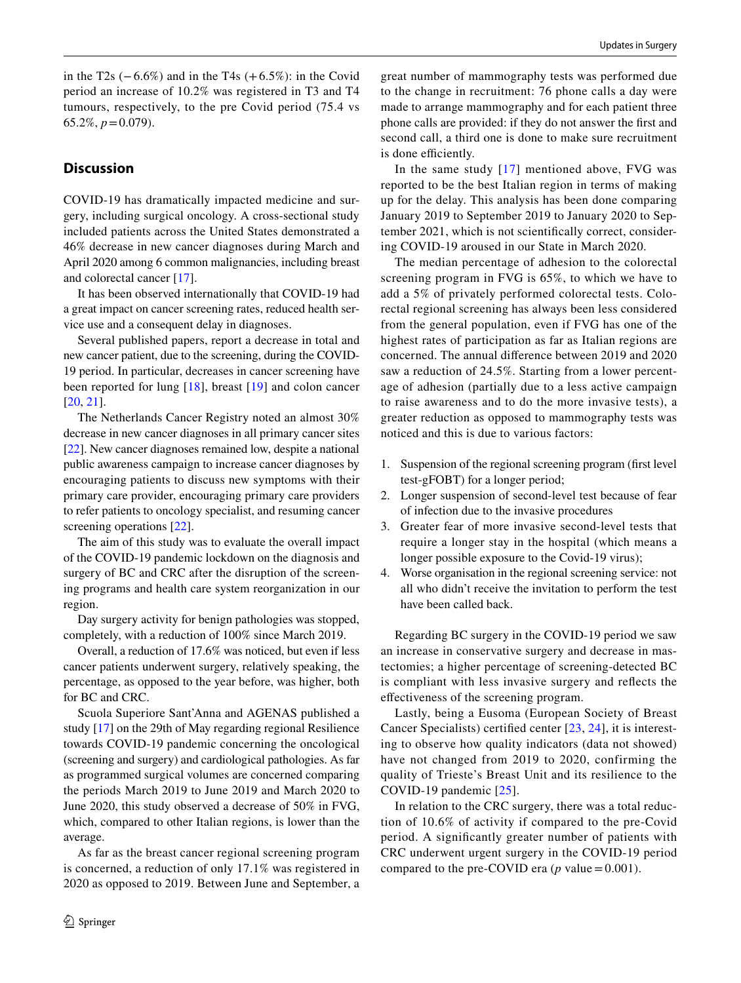in the T2s  $(-6.6\%)$  and in the T4s  $(+6.5\%)$ : in the Covid period an increase of 10.2% was registered in T3 and T4 tumours, respectively, to the pre Covid period (75.4 vs 65.2%, *p*=0.079).

# **Discussion**

COVID-19 has dramatically impacted medicine and surgery, including surgical oncology. A cross-sectional study included patients across the United States demonstrated a 46% decrease in new cancer diagnoses during March and April 2020 among 6 common malignancies, including breast and colorectal cancer [[17\]](#page-9-15).

It has been observed internationally that COVID-19 had a great impact on cancer screening rates, reduced health service use and a consequent delay in diagnoses.

Several published papers, report a decrease in total and new cancer patient, due to the screening, during the COVID-19 period. In particular, decreases in cancer screening have been reported for lung [[18](#page-9-16)], breast [[19\]](#page-9-17) and colon cancer [\[20,](#page-9-18) [21\]](#page-9-19).

The Netherlands Cancer Registry noted an almost 30% decrease in new cancer diagnoses in all primary cancer sites [\[22](#page-9-20)]. New cancer diagnoses remained low, despite a national public awareness campaign to increase cancer diagnoses by encouraging patients to discuss new symptoms with their primary care provider, encouraging primary care providers to refer patients to oncology specialist, and resuming cancer screening operations [\[22](#page-9-20)].

The aim of this study was to evaluate the overall impact of the COVID-19 pandemic lockdown on the diagnosis and surgery of BC and CRC after the disruption of the screening programs and health care system reorganization in our region.

Day surgery activity for benign pathologies was stopped, completely, with a reduction of 100% since March 2019.

Overall, a reduction of 17.6% was noticed, but even if less cancer patients underwent surgery, relatively speaking, the percentage, as opposed to the year before, was higher, both for BC and CRC.

Scuola Superiore Sant'Anna and AGENAS published a study [\[17](#page-9-15)] on the 29th of May regarding regional Resilience towards COVID-19 pandemic concerning the oncological (screening and surgery) and cardiological pathologies. As far as programmed surgical volumes are concerned comparing the periods March 2019 to June 2019 and March 2020 to June 2020, this study observed a decrease of 50% in FVG, which, compared to other Italian regions, is lower than the average.

As far as the breast cancer regional screening program is concerned, a reduction of only 17.1% was registered in 2020 as opposed to 2019. Between June and September, a great number of mammography tests was performed due to the change in recruitment: 76 phone calls a day were made to arrange mammography and for each patient three phone calls are provided: if they do not answer the frst and second call, a third one is done to make sure recruitment is done efficiently.

In the same study [[17\]](#page-9-15) mentioned above, FVG was reported to be the best Italian region in terms of making up for the delay. This analysis has been done comparing January 2019 to September 2019 to January 2020 to September 2021, which is not scientifcally correct, considering COVID-19 aroused in our State in March 2020.

The median percentage of adhesion to the colorectal screening program in FVG is 65%, to which we have to add a 5% of privately performed colorectal tests. Colorectal regional screening has always been less considered from the general population, even if FVG has one of the highest rates of participation as far as Italian regions are concerned. The annual diference between 2019 and 2020 saw a reduction of 24.5%. Starting from a lower percentage of adhesion (partially due to a less active campaign to raise awareness and to do the more invasive tests), a greater reduction as opposed to mammography tests was noticed and this is due to various factors:

- 1. Suspension of the regional screening program (frst level test-gFOBT) for a longer period;
- 2. Longer suspension of second-level test because of fear of infection due to the invasive procedures
- 3. Greater fear of more invasive second-level tests that require a longer stay in the hospital (which means a longer possible exposure to the Covid-19 virus);
- 4. Worse organisation in the regional screening service: not all who didn't receive the invitation to perform the test have been called back.

Regarding BC surgery in the COVID-19 period we saw an increase in conservative surgery and decrease in mastectomies; a higher percentage of screening-detected BC is compliant with less invasive surgery and refects the efectiveness of the screening program.

Lastly, being a Eusoma (European Society of Breast Cancer Specialists) certifed center [\[23,](#page-9-21) [24](#page-9-22)], it is interesting to observe how quality indicators (data not showed) have not changed from 2019 to 2020, confirming the quality of Trieste's Breast Unit and its resilience to the COVID-19 pandemic [\[25\]](#page-9-23).

In relation to the CRC surgery, there was a total reduction of 10.6% of activity if compared to the pre-Covid period. A signifcantly greater number of patients with CRC underwent urgent surgery in the COVID-19 period compared to the pre-COVID era ( $p$  value = 0.001).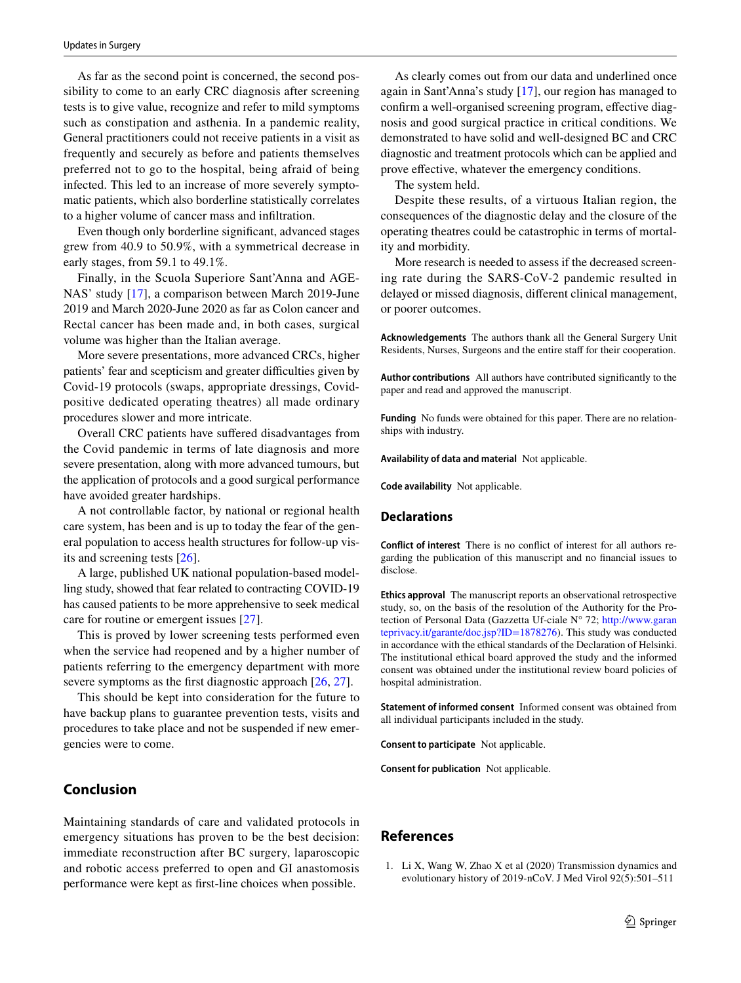As far as the second point is concerned, the second possibility to come to an early CRC diagnosis after screening tests is to give value, recognize and refer to mild symptoms such as constipation and asthenia. In a pandemic reality, General practitioners could not receive patients in a visit as frequently and securely as before and patients themselves preferred not to go to the hospital, being afraid of being infected. This led to an increase of more severely symptomatic patients, which also borderline statistically correlates to a higher volume of cancer mass and infltration.

Even though only borderline signifcant, advanced stages grew from 40.9 to 50.9%, with a symmetrical decrease in early stages, from 59.1 to 49.1%.

Finally, in the Scuola Superiore Sant'Anna and AGE-NAS' study [\[17](#page-9-15)], a comparison between March 2019-June 2019 and March 2020-June 2020 as far as Colon cancer and Rectal cancer has been made and, in both cases, surgical volume was higher than the Italian average.

More severe presentations, more advanced CRCs, higher patients' fear and scepticism and greater difficulties given by Covid-19 protocols (swaps, appropriate dressings, Covidpositive dedicated operating theatres) all made ordinary procedures slower and more intricate.

Overall CRC patients have sufered disadvantages from the Covid pandemic in terms of late diagnosis and more severe presentation, along with more advanced tumours, but the application of protocols and a good surgical performance have avoided greater hardships.

A not controllable factor, by national or regional health care system, has been and is up to today the fear of the general population to access health structures for follow-up visits and screening tests [[26](#page-9-24)].

A large, published UK national population-based modelling study, showed that fear related to contracting COVID-19 has caused patients to be more apprehensive to seek medical care for routine or emergent issues [[27\]](#page-9-25).

This is proved by lower screening tests performed even when the service had reopened and by a higher number of patients referring to the emergency department with more severe symptoms as the first diagnostic approach  $[26, 27]$  $[26, 27]$  $[26, 27]$  $[26, 27]$ .

This should be kept into consideration for the future to have backup plans to guarantee prevention tests, visits and procedures to take place and not be suspended if new emergencies were to come.

# **Conclusion**

Maintaining standards of care and validated protocols in emergency situations has proven to be the best decision: immediate reconstruction after BC surgery, laparoscopic and robotic access preferred to open and GI anastomosis performance were kept as frst-line choices when possible.

As clearly comes out from our data and underlined once again in Sant'Anna's study [[17](#page-9-15)], our region has managed to confrm a well-organised screening program, efective diagnosis and good surgical practice in critical conditions. We demonstrated to have solid and well-designed BC and CRC diagnostic and treatment protocols which can be applied and prove efective, whatever the emergency conditions.

The system held.

Despite these results, of a virtuous Italian region, the consequences of the diagnostic delay and the closure of the operating theatres could be catastrophic in terms of mortality and morbidity.

More research is needed to assess if the decreased screening rate during the SARS-CoV-2 pandemic resulted in delayed or missed diagnosis, diferent clinical management, or poorer outcomes.

**Acknowledgements** The authors thank all the General Surgery Unit Residents, Nurses, Surgeons and the entire staff for their cooperation.

**Author contributions** All authors have contributed signifcantly to the paper and read and approved the manuscript.

**Funding** No funds were obtained for this paper. There are no relationships with industry.

**Availability of data and material** Not applicable.

**Code availability** Not applicable.

#### **Declarations**

**Conflict of interest** There is no confict of interest for all authors regarding the publication of this manuscript and no fnancial issues to disclose.

**Ethics approval** The manuscript reports an observational retrospective study, so, on the basis of the resolution of the Authority for the Protection of Personal Data (Gazzetta Uf-ciale N° 72; [http://www.garan](http://www.garanteprivacy.it/garante/doc.jsp?ID=1878276) [teprivacy.it/garante/doc.jsp?ID=1878276\)](http://www.garanteprivacy.it/garante/doc.jsp?ID=1878276). This study was conducted in accordance with the ethical standards of the Declaration of Helsinki. The institutional ethical board approved the study and the informed consent was obtained under the institutional review board policies of hospital administration.

**Statement of informed consent** Informed consent was obtained from all individual participants included in the study.

**Consent to participate** Not applicable.

**Consent for publication** Not applicable.

## **References**

<span id="page-8-0"></span>1. Li X, Wang W, Zhao X et al (2020) Transmission dynamics and evolutionary history of 2019-nCoV. J Med Virol 92(5):501–511